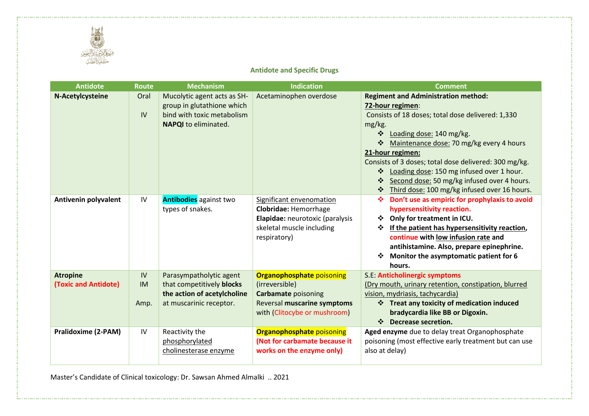

## **Antidote and Specific Drugs**

| <b>Antidote</b>                         | <b>Route</b>            | <b>Mechanism</b>                                                                                                       | <b>Indication</b>                                                                                                                               | <b>Comment</b>                                                                                                                                                                                                                                                                                                    |
|-----------------------------------------|-------------------------|------------------------------------------------------------------------------------------------------------------------|-------------------------------------------------------------------------------------------------------------------------------------------------|-------------------------------------------------------------------------------------------------------------------------------------------------------------------------------------------------------------------------------------------------------------------------------------------------------------------|
| N-Acetylcysteine                        | Oral<br>IV              | Mucolytic agent acts as SH-<br>group in glutathione which<br>bind with toxic metabolism<br><b>NAPQI</b> to eliminated. | Acetaminophen overdose                                                                                                                          | <b>Regiment and Administration method:</b><br>72-hour regimen:<br>Consists of 18 doses; total dose delivered: 1,330<br>mg/kg.<br>❖<br>Loading dose: 140 mg/kg.<br>❖<br>Maintenance dose: 70 mg/kg every 4 hours<br>21-hour regimen:                                                                               |
|                                         |                         |                                                                                                                        |                                                                                                                                                 | Consists of 3 doses; total dose delivered: 300 mg/kg.<br>Loading dose: 150 mg infused over 1 hour.<br>❖<br>$\bullet \bullet \bullet$<br>Second dose: 50 mg/kg infused over 4 hours.<br>Third dose: 100 mg/kg infused over 16 hours.<br>❖                                                                          |
| Antivenin polyvalent                    | IV                      | <b>Antibodies</b> against two<br>types of snakes.                                                                      | Significant envenomation<br><b>Clobridae: Hemorrhage</b><br>Elapidae: neurotoxic (paralysis<br>skeletal muscle including<br>respiratory)        | Don't use as empiric for prophylaxis to avoid<br>❖<br>hypersensitivity reaction.<br>Only for treatment in ICU.<br>❖<br>If the patient has hypersensitivity reaction,<br>❖<br>continue with low infusion rate and<br>antihistamine. Also, prepare epinephrine.<br>Monitor the asymptomatic patient for 6<br>hours. |
| <b>Atropine</b><br>(Toxic and Antidote) | IV<br><b>IM</b><br>Amp. | Parasympatholytic agent<br>that competitively blocks<br>the action of acetylcholine<br>at muscarinic receptor.         | <b>Organophosphate poisoning</b><br>(irreversible)<br><b>Carbamate poisoning</b><br>Reversal muscarine symptoms<br>with (Clitocybe or mushroom) | S.E: Anticholinergic symptoms<br>(Dry mouth, urinary retention, constipation, blurred<br>vision, mydriasis, tachycardia)<br>❖ Treat any toxicity of medication induced<br>bradycardia like BB or Digoxin.<br>$\frac{1}{2}$<br>Decrease secretion.                                                                 |
| <b>Pralidoxime (2-PAM)</b>              | IV                      | Reactivity the<br>phosphorylated<br>cholinesterase enzyme                                                              | <b>Organophosphate poisoning</b><br>(Not for carbamate because it<br>works on the enzyme only)                                                  | Aged enzyme due to delay treat Organophosphate<br>poisoning (most effective early treatment but can use<br>also at delay)                                                                                                                                                                                         |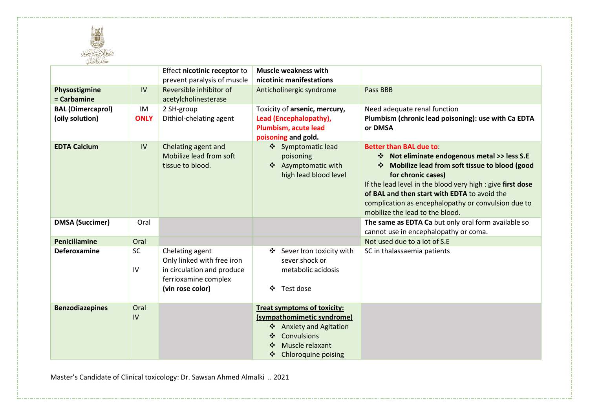

| كليترالطك                |             |                              |                                    |                                                            |
|--------------------------|-------------|------------------------------|------------------------------------|------------------------------------------------------------|
|                          |             | Effect nicotinic receptor to | <b>Muscle weakness with</b>        |                                                            |
|                          |             | prevent paralysis of muscle  | nicotinic manifestations           |                                                            |
| Physostigmine            | IV          | Reversible inhibitor of      | Anticholinergic syndrome           | Pass BBB                                                   |
| = Carbamine              |             | acetylcholinesterase         |                                    |                                                            |
| <b>BAL (Dimercaprol)</b> | IM          | 2 SH-group                   | Toxicity of arsenic, mercury,      | Need adequate renal function                               |
| (oily solution)          | <b>ONLY</b> | Dithiol-chelating agent      | Lead (Encephalopathy),             | Plumbism (chronic lead poisoning): use with Ca EDTA        |
|                          |             |                              | Plumbism, acute lead               | or DMSA                                                    |
|                          |             |                              | poisoning and gold.                |                                                            |
| <b>EDTA Calcium</b>      | IV          | Chelating agent and          | ❖ Symptomatic lead                 | <b>Better than BAL due to:</b>                             |
|                          |             | Mobilize lead from soft      | poisoning                          | ❖ Not eliminate endogenous metal >> less S.E               |
|                          |             | tissue to blood.             | ❖ Asymptomatic with                | Mobilize lead from soft tissue to blood (good              |
|                          |             |                              | high lead blood level              | for chronic cases)                                         |
|                          |             |                              |                                    | If the lead level in the blood very high : give first dose |
|                          |             |                              |                                    | of BAL and then start with EDTA to avoid the               |
|                          |             |                              |                                    | complication as encephalopathy or convulsion due to        |
|                          |             |                              |                                    | mobilize the lead to the blood.                            |
| <b>DMSA (Succimer)</b>   | Oral        |                              |                                    | The same as EDTA Ca but only oral form available so        |
|                          |             |                              |                                    | cannot use in encephalopathy or coma.                      |
| Penicillamine            | Oral        |                              |                                    | Not used due to a lot of S.E                               |
| Deferoxamine             | SC          | Chelating agent              | Sever Iron toxicity with<br>❖      | SC in thalassaemia patients                                |
|                          |             | Only linked with free iron   | sever shock or                     |                                                            |
|                          | IV          | in circulation and produce   | metabolic acidosis                 |                                                            |
|                          |             | ferrioxamine complex         |                                    |                                                            |
|                          |             | (vin rose color)             | ❖<br>Test dose                     |                                                            |
| <b>Benzodiazepines</b>   | Oral        |                              | <b>Treat symptoms of toxicity:</b> |                                                            |
|                          | IV          |                              | (sympathomimetic syndrome)         |                                                            |
|                          |             |                              | ❖ Anxiety and Agitation            |                                                            |
|                          |             |                              | Convulsions                        |                                                            |
|                          |             |                              | Muscle relaxant                    |                                                            |
|                          |             |                              | <b>Chloroquine poising</b><br>❖    |                                                            |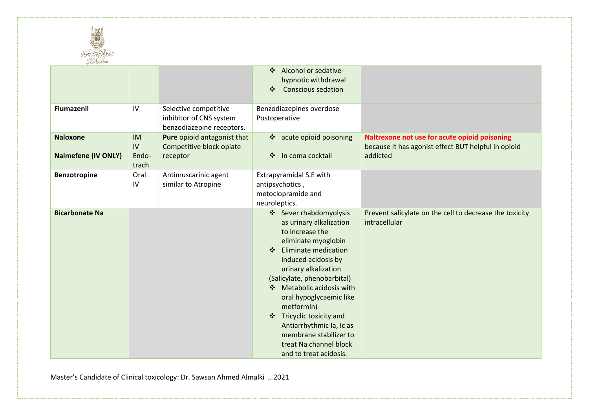

| كليترالطك                                     |                                   |                                                                               |                                                                                                                                                                                                                                                                                                                                                                                                                                                                                                                                |
|-----------------------------------------------|-----------------------------------|-------------------------------------------------------------------------------|--------------------------------------------------------------------------------------------------------------------------------------------------------------------------------------------------------------------------------------------------------------------------------------------------------------------------------------------------------------------------------------------------------------------------------------------------------------------------------------------------------------------------------|
|                                               |                                   |                                                                               | Alcohol or sedative-<br>❖<br>hypnotic withdrawal<br><b>Conscious sedation</b><br>❖                                                                                                                                                                                                                                                                                                                                                                                                                                             |
| Flumazenil                                    | IV                                | Selective competitive<br>inhibitor of CNS system<br>benzodiazepine receptors. | Benzodiazepines overdose<br>Postoperative                                                                                                                                                                                                                                                                                                                                                                                                                                                                                      |
| <b>Naloxone</b><br><b>Nalmefene (IV ONLY)</b> | <b>IM</b><br>IV<br>Endo-<br>trach | Pure opioid antagonist that<br>Competitive block opiate<br>receptor           | ❖ acute opioid poisoning<br>Naltrexone not use for acute opioid poisoning<br>because it has agonist effect BUT helpful in opioid<br>In coma cocktail<br>addicted<br>❖                                                                                                                                                                                                                                                                                                                                                          |
| <b>Benzotropine</b>                           | Oral<br>IV                        | Antimuscarinic agent<br>similar to Atropine                                   | Extrapyramidal S.E with<br>antipsychotics,<br>metoclopramide and<br>neuroleptics.                                                                                                                                                                                                                                                                                                                                                                                                                                              |
| <b>Bicarbonate Na</b>                         |                                   |                                                                               | ❖ Sever rhabdomyolysis<br>Prevent salicylate on the cell to decrease the toxicity<br>intracellular<br>as urinary alkalization<br>to increase the<br>eliminate myoglobin<br>Eliminate medication<br>$\ddot{\bullet}$<br>induced acidosis by<br>urinary alkalization<br>(Salicylate, phenobarbital)<br>Metabolic acidosis with<br>$\mathbf{A}$<br>oral hypoglycaemic like<br>metformin)<br>Tricyclic toxicity and<br>❖<br>Antiarrhythmic Ia, Ic as<br>membrane stabilizer to<br>treat Na channel block<br>and to treat acidosis. |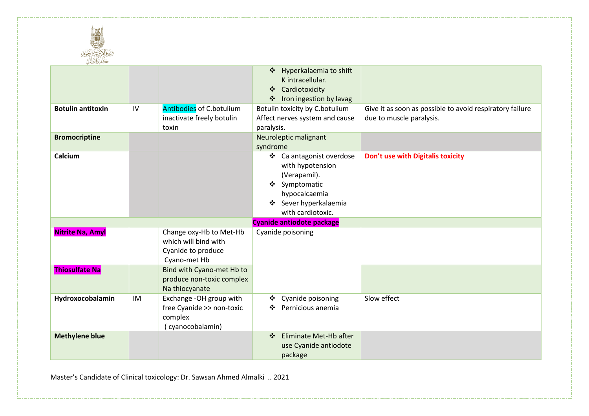

| كليترالطك                |    |                                                                                       |                                                                                                                                                 |                                                                                      |
|--------------------------|----|---------------------------------------------------------------------------------------|-------------------------------------------------------------------------------------------------------------------------------------------------|--------------------------------------------------------------------------------------|
|                          |    |                                                                                       | ❖ Hyperkalaemia to shift<br>K intracellular.<br>Cardiotoxicity<br>❖<br>Iron ingestion by lavag<br>❖                                             |                                                                                      |
| <b>Botulin antitoxin</b> | IV | Antibodies of C.botulium<br>inactivate freely botulin<br>toxin                        | Botulin toxicity by C.botulium<br>Affect nerves system and cause<br>paralysis.                                                                  | Give it as soon as possible to avoid respiratory failure<br>due to muscle paralysis. |
| <b>Bromocriptine</b>     |    |                                                                                       | Neuroleptic malignant<br>syndrome                                                                                                               |                                                                                      |
| Calcium                  |    |                                                                                       | ❖ Ca antagonist overdose<br>with hypotension<br>(Verapamil).<br>❖ Symptomatic<br>hypocalcaemia<br>Sever hyperkalaemia<br>❖<br>with cardiotoxic. | Don't use with Digitalis toxicity                                                    |
|                          |    |                                                                                       | Cyanide antiodote package                                                                                                                       |                                                                                      |
| <b>Nitrite Na, Amyl</b>  |    | Change oxy-Hb to Met-Hb<br>which will bind with<br>Cyanide to produce<br>Cyano-met Hb | Cyanide poisoning                                                                                                                               |                                                                                      |
| <b>Thiosulfate Na</b>    |    | Bind with Cyano-met Hb to<br>produce non-toxic complex<br>Na thiocyanate              |                                                                                                                                                 |                                                                                      |
| Hydroxocobalamin         | IM | Exchange -OH group with<br>free Cyanide >> non-toxic<br>complex<br>(cyanocobalamin)   | Cyanide poisoning<br>❖<br>Pernicious anemia<br>❖                                                                                                | Slow effect                                                                          |
| <b>Methylene blue</b>    |    |                                                                                       | Eliminate Met-Hb after<br>$\frac{1}{2}$<br>use Cyanide antiodote<br>package                                                                     |                                                                                      |